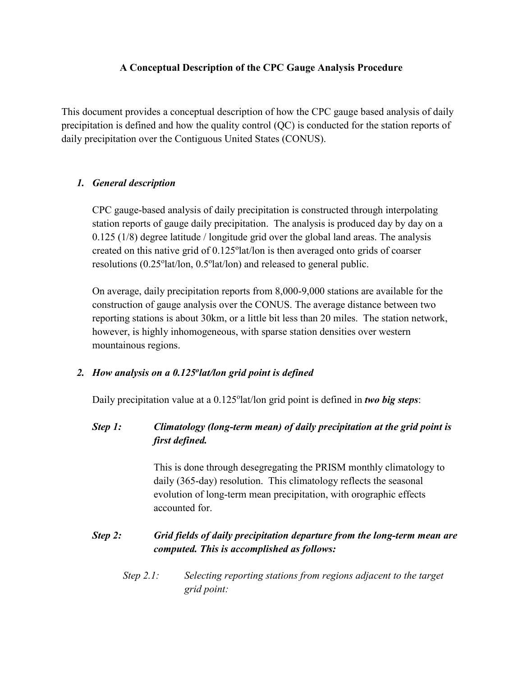#### **A Conceptual Description of the CPC Gauge Analysis Procedure**

This document provides a conceptual description of how the CPC gauge based analysis of daily precipitation is defined and how the quality control (QC) is conducted for the station reports of daily precipitation over the Contiguous United States (CONUS).

#### *1. General description*

CPC gauge-based analysis of daily precipitation is constructed through interpolating station reports of gauge daily precipitation. The analysis is produced day by day on a 0.125 (1/8) degree latitude / longitude grid over the global land areas. The analysis created on this native grid of 0.125°lat/lon is then averaged onto grids of coarser resolutions (0.25°lat/lon, 0.5°lat/lon) and released to general public.

On average, daily precipitation reports from 8,000-9,000 stations are available for the construction of gauge analysis over the CONUS. The average distance between two reporting stations is about 30km, or a little bit less than 20 miles. The station network, however, is highly inhomogeneous, with sparse station densities over western mountainous regions.

#### *2. How analysis on a 0.125olat/lon grid point is defined*

Daily precipitation value at a 0.125°lat/lon grid point is defined in *two big steps*:

### *Step 1: Climatology (long-term mean) of daily precipitation at the grid point is first defined.*

This is done through desegregating the PRISM monthly climatology to daily (365-day) resolution. This climatology reflects the seasonal evolution of long-term mean precipitation, with orographic effects accounted for.

### *Step 2: Grid fields of daily precipitation departure from the long-term mean are computed. This is accomplished as follows:*

*Step 2.1: Selecting reporting stations from regions adjacent to the target grid point:*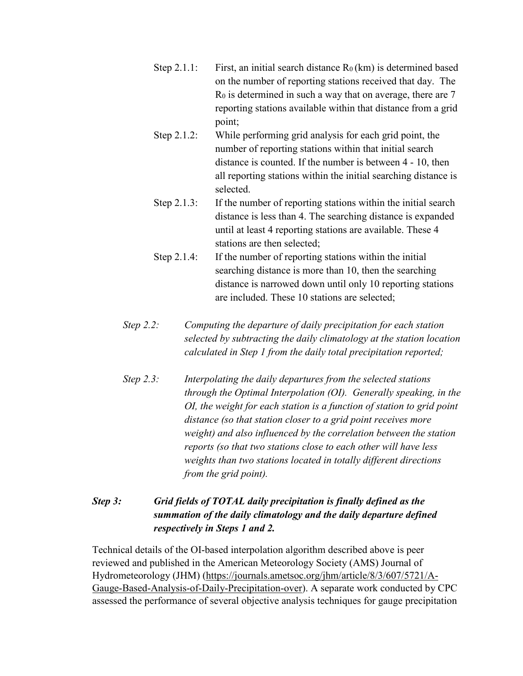- Step 2.1.1: First, an initial search distance  $R_0(km)$  is determined based on the number of reporting stations received that day. The  $R_0$  is determined in such a way that on average, there are  $7$ reporting stations available within that distance from a grid point;
- Step 2.1.2: While performing grid analysis for each grid point, the number of reporting stations within that initial search distance is counted. If the number is between 4 - 10, then all reporting stations within the initial searching distance is selected.
- Step 2.1.3: If the number of reporting stations within the initial search distance is less than 4. The searching distance is expanded until at least 4 reporting stations are available. These 4 stations are then selected;
- Step 2.1.4: If the number of reporting stations within the initial searching distance is more than 10, then the searching distance is narrowed down until only 10 reporting stations are included. These 10 stations are selected;
- *Step 2.2: Computing the departure of daily precipitation for each station selected by subtracting the daily climatology at the station location calculated in Step 1 from the daily total precipitation reported;*
- *Step 2.3: Interpolating the daily departures from the selected stations through the Optimal Interpolation (OI). Generally speaking, in the OI, the weight for each station is a function of station to grid point distance (so that station closer to a grid point receives more weight) and also influenced by the correlation between the station reports (so that two stations close to each other will have less weights than two stations located in totally different directions from the grid point).*

# *Step 3: Grid fields of TOTAL daily precipitation is finally defined as the summation of the daily climatology and the daily departure defined respectively in Steps 1 and 2.*

Technical details of the OI-based interpolation algorithm described above is peer reviewed and published in the American Meteorology Society (AMS) Journal of Hydrometeorology (JHM) [\(https://journals.ametsoc.org/jhm/article/8/3/607/5721/A-](https://journals.ametsoc.org/jhm/article/8/3/607/5721/A-Gauge-Based-Analysis-of-Daily-Precipitation-over)[Gauge-Based-Analysis-of-Daily-Precipitation-over\)](https://journals.ametsoc.org/jhm/article/8/3/607/5721/A-Gauge-Based-Analysis-of-Daily-Precipitation-over). A separate work conducted by CPC assessed the performance of several objective analysis techniques for gauge precipitation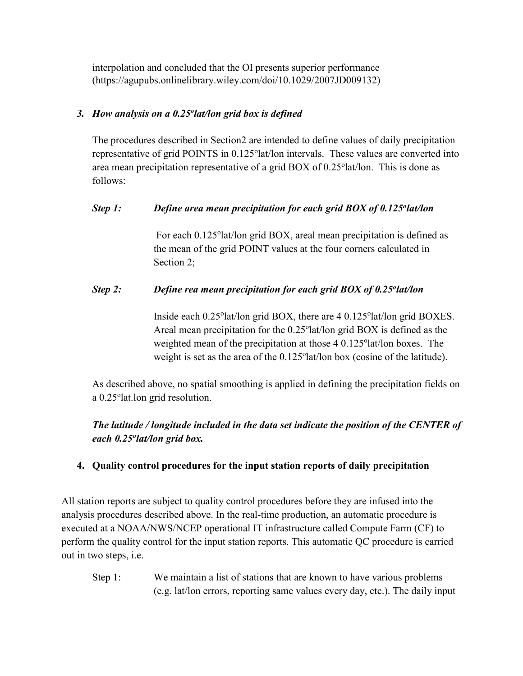interpolation and concluded that the OI presents superior performance [\(https://agupubs.onlinelibrary.wiley.com/doi/10.1029/2007JD009132\)](https://agupubs.onlinelibrary.wiley.com/doi/10.1029/2007JD009132)

### *3. How analysis on a 0.25olat/lon grid box is defined*

The procedures described in Section2 are intended to define values of daily precipitation representative of grid POINTS in 0.125°lat/lon intervals. These values are converted into area mean precipitation representative of a grid BOX of 0.25°lat/lon. This is done as follows:

# *Step 1: Define area mean precipitation for each grid BOX of 0.125<sup>o</sup>lat/lon*

For each 0.125°lat/lon grid BOX, areal mean precipitation is defined as the mean of the grid POINT values at the four corners calculated in Section 2;

### *Step 2: Define rea mean precipitation for each grid BOX of 0.25<sup>o</sup>lat/lon*

Inside each 0.25°lat/lon grid BOX, there are 4 0.125°lat/lon grid BOXES. Areal mean precipitation for the 0.25°lat/lon grid BOX is defined as the weighted mean of the precipitation at those 4 0.125°lat/lon boxes. The weight is set as the area of the 0.125° lat/lon box (cosine of the latitude).

As described above, no spatial smoothing is applied in defining the precipitation fields on a 0.25° lat. lon grid resolution.

*The latitude / longitude included in the data set indicate the position of the CENTER of each 0.25olat/lon grid box.*

### **4. Quality control procedures for the input station reports of daily precipitation**

All station reports are subject to quality control procedures before they are infused into the analysis procedures described above. In the real-time production, an automatic procedure is executed at a NOAA/NWS/NCEP operational IT infrastructure called Compute Farm (CF) to perform the quality control for the input station reports. This automatic QC procedure is carried out in two steps, i.e.

Step 1: We maintain a list of stations that are known to have various problems (e.g. lat/lon errors, reporting same values every day, etc.). The daily input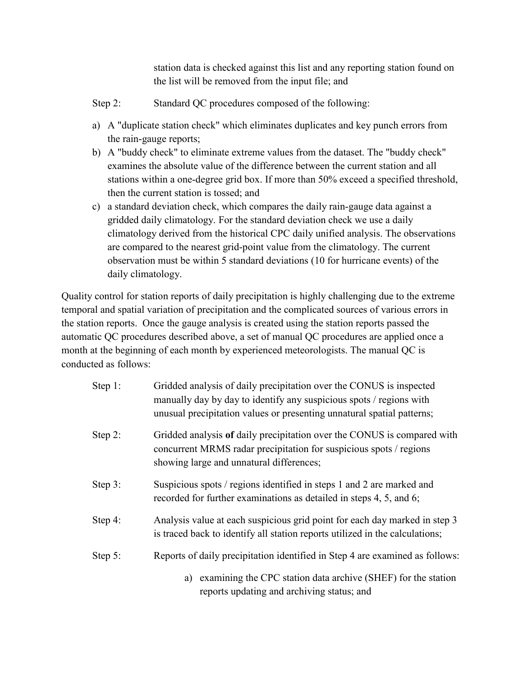station data is checked against this list and any reporting station found on the list will be removed from the input file; and

- Step 2: Standard QC procedures composed of the following:
- a) A "duplicate station check" which eliminates duplicates and key punch errors from the rain-gauge reports;
- b) A "buddy check" to eliminate extreme values from the dataset. The "buddy check" examines the absolute value of the difference between the current station and all stations within a one-degree grid box. If more than 50% exceed a specified threshold, then the current station is tossed; and
- c) a standard deviation check, which compares the daily rain-gauge data against a gridded daily climatology. For the standard deviation check we use a daily climatology derived from the historical CPC daily unified analysis. The observations are compared to the nearest grid-point value from the climatology. The current observation must be within 5 standard deviations (10 for hurricane events) of the daily climatology.

Quality control for station reports of daily precipitation is highly challenging due to the extreme temporal and spatial variation of precipitation and the complicated sources of various errors in the station reports. Once the gauge analysis is created using the station reports passed the automatic QC procedures described above, a set of manual QC procedures are applied once a month at the beginning of each month by experienced meteorologists. The manual QC is conducted as follows:

| Step 1: | Gridded analysis of daily precipitation over the CONUS is inspected<br>manually day by day to identify any suspicious spots / regions with<br>unusual precipitation values or presenting unnatural spatial patterns; |
|---------|----------------------------------------------------------------------------------------------------------------------------------------------------------------------------------------------------------------------|
| Step 2: | Gridded analysis of daily precipitation over the CONUS is compared with<br>concurrent MRMS radar precipitation for suspicious spots / regions<br>showing large and unnatural differences;                            |
| Step 3: | Suspicious spots / regions identified in steps 1 and 2 are marked and<br>recorded for further examinations as detailed in steps 4, 5, and 6;                                                                         |
| Step 4: | Analysis value at each suspicious grid point for each day marked in step 3<br>is traced back to identify all station reports utilized in the calculations;                                                           |
| Step 5: | Reports of daily precipitation identified in Step 4 are examined as follows:                                                                                                                                         |
|         | examining the CPC station data archive (SHEF) for the station<br>a)<br>reports updating and archiving status; and                                                                                                    |